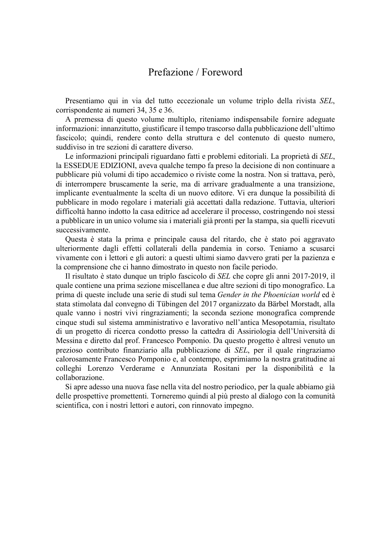## Prefazione / Foreword

Presentiamo qui in via del tutto eccezionale un volume triplo della rivista *SEL*, corrispondente ai numeri 34, 35 e 36.

A premessa di questo volume multiplo, riteniamo indispensabile fornire adeguate informazioni: innanzitutto, giustificare il tempo trascorso dalla pubblicazione dell'ultimo fascicolo; quindi, rendere conto della struttura e del contenuto di questo numero, suddiviso in tre sezioni di carattere diverso.

Le informazioni principali riguardano fatti e problemi editoriali. La proprietà di *SEL*, la ESSEDUE EDIZIONI, aveva qualche tempo fa preso la decisione di non continuare a pubblicare più volumi di tipo accademico o riviste come la nostra. Non si trattava, però, di interrompere bruscamente la serie, ma di arrivare gradualmente a una transizione, implicante eventualmente la scelta di un nuovo editore. Vi era dunque la possibilità di pubblicare in modo regolare i materiali già accettati dalla redazione. Tuttavia, ulteriori difficoltà hanno indotto la casa editrice ad accelerare il processo, costringendo noi stessi a pubblicare in un unico volume sia i materiali già pronti per la stampa, sia quelli ricevuti successivamente.

Questa è stata la prima e principale causa del ritardo, che è stato poi aggravato ulteriormente dagli effetti collaterali della pandemia in corso. Teniamo a scusarci vivamente con i lettori e gli autori: a questi ultimi siamo davvero grati per la pazienza e la comprensione che ci hanno dimostrato in questo non facile periodo.

Il risultato è stato dunque un triplo fascicolo di *SEL* che copre gli anni 2017-2019, il quale contiene una prima sezione miscellanea e due altre sezioni di tipo monografico. La prima di queste include una serie di studi sul tema *Gender in the Phoenician world* ed è stata stimolata dal convegno di Tübingen del 2017 organizzato da Bärbel Morstadt, alla quale vanno i nostri vivi ringraziamenti; la seconda sezione monografica comprende cinque studi sul sistema amministrativo e lavorativo nell'antica Mesopotamia, risultato di un progetto di ricerca condotto presso la cattedra di Assiriologia dell'Università di Messina e diretto dal prof. Francesco Pomponio. Da questo progetto è altresì venuto un prezioso contributo finanziario alla pubblicazione di *SEL*, per il quale ringraziamo calorosamente Francesco Pomponio e, al contempo, esprimiamo la nostra gratitudine ai colleghi Lorenzo Verderame e Annunziata Rositani per la disponibilità e la collaborazione.

Si apre adesso una nuova fase nella vita del nostro periodico, per la quale abbiamo già delle prospettive promettenti. Torneremo quindi al più presto al dialogo con la comunità scientifica, con i nostri lettori e autori, con rinnovato impegno.